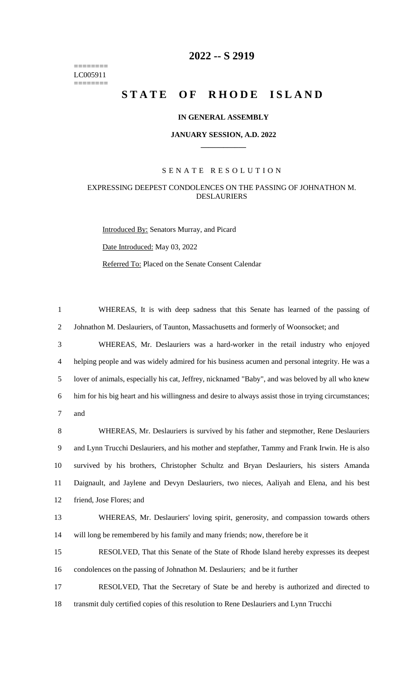======== LC005911 ========

# **2022 -- S 2919**

# STATE OF RHODE ISLAND

### **IN GENERAL ASSEMBLY**

#### **JANUARY SESSION, A.D. 2022 \_\_\_\_\_\_\_\_\_\_\_\_**

### S E N A T E R E S O L U T I O N

## EXPRESSING DEEPEST CONDOLENCES ON THE PASSING OF JOHNATHON M. DESLAURIERS

Introduced By: Senators Murray, and Picard Date Introduced: May 03, 2022 Referred To: Placed on the Senate Consent Calendar

1 WHEREAS, It is with deep sadness that this Senate has learned of the passing of 2 Johnathon M. Deslauriers, of Taunton, Massachusetts and formerly of Woonsocket; and

 WHEREAS, Mr. Deslauriers was a hard-worker in the retail industry who enjoyed helping people and was widely admired for his business acumen and personal integrity. He was a lover of animals, especially his cat, Jeffrey, nicknamed "Baby", and was beloved by all who knew him for his big heart and his willingness and desire to always assist those in trying circumstances; 7 and

 WHEREAS, Mr. Deslauriers is survived by his father and stepmother, Rene Deslauriers and Lynn Trucchi Deslauriers, and his mother and stepfather, Tammy and Frank Irwin. He is also survived by his brothers, Christopher Schultz and Bryan Deslauriers, his sisters Amanda Daignault, and Jaylene and Devyn Deslauriers, two nieces, Aaliyah and Elena, and his best friend, Jose Flores; and

13 WHEREAS, Mr. Deslauriers' loving spirit, generosity, and compassion towards others 14 will long be remembered by his family and many friends; now, therefore be it

15 RESOLVED, That this Senate of the State of Rhode Island hereby expresses its deepest 16 condolences on the passing of Johnathon M. Deslauriers; and be it further

17 RESOLVED, That the Secretary of State be and hereby is authorized and directed to 18 transmit duly certified copies of this resolution to Rene Deslauriers and Lynn Trucchi